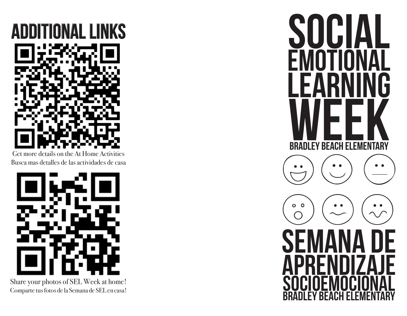

Get more details on the At Home Activities Busca mas detalles de las actividades de casa



Share your photos of SEL Week at home! Comparte tus fotos de la Semana de SEL en casa!

SUUIA EMOTIONAL LEARNING BRADLEY BEACH ELEMENTARY  $O$   $O$ **SEMANA DE APRENDIZAJE** socioemocional BRADLEY BEACH ELEMENTARY